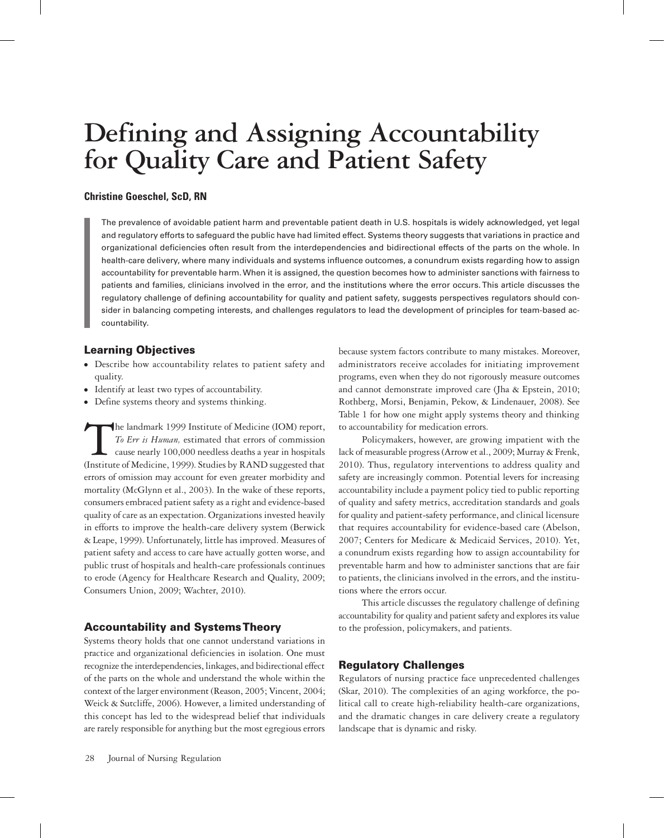# **Defining and Assigning Accountability for Quality Care and Patient Safety**

# **Christine Goeschel, ScD, RN**

The prevalence of avoidable patient harm and preventable patient death in U.S. hospitals is widely acknowledged, yet legal and regulatory efforts to safeguard the public have had limited effect. Systems theory suggests that variations in practice and organizational deficiencies often result from the interdependencies and bidirectional effects of the parts on the whole. In health-care delivery, where many individuals and systems influence outcomes, a conundrum exists regarding how to assign accountability for preventable harm. When it is assigned, the question becomes how to administer sanctions with fairness to patients and families, clinicians involved in the error, and the institutions where the error occurs. This article discusses the regulatory challenge of defining accountability for quality and patient safety, suggests perspectives regulators should consider in balancing competing interests, and challenges regulators to lead the development of principles for team-based accountability.

# Learning Objectives

- ⦁⦁ Describe how accountability relates to patient safety and quality.
- ⦁⦁ Identify at least two types of accountability.
- ⦁⦁ Define systems theory and systems thinking.

The landmark 1999 Institute of Medicine (IOM) report, *To Err is Human,* estimated that errors of commission cause nearly 100,000 needless deaths a year in hospitals (Institute of Medicine, 1999). Studies by RAND suggested that errors of omission may account for even greater morbidity and mortality (McGlynn et al., 2003). In the wake of these reports, consumers embraced patient safety as a right and evidence-based quality of care as an expectation. Organizations invested heavily in efforts to improve the health-care delivery system (Berwick & Leape, 1999). Unfortunately, little has improved. Measures of patient safety and access to care have actually gotten worse, and public trust of hospitals and health-care professionals continues to erode (Agency for Healthcare Research and Quality, 2009; Consumers Union, 2009; Wachter, 2010).

## Accountability and Systems Theory

Systems theory holds that one cannot understand variations in practice and organizational deficiencies in isolation. One must recognize the interdependencies, linkages, and bidirectional effect of the parts on the whole and understand the whole within the context of the larger environment (Reason, 2005; Vincent, 2004; Weick & Sutcliffe, 2006). However, a limited understanding of this concept has led to the widespread belief that individuals are rarely responsible for anything but the most egregious errors because system factors contribute to many mistakes. Moreover, administrators receive accolades for initiating improvement programs, even when they do not rigorously measure outcomes and cannot demonstrate improved care (Jha & Epstein, 2010; Rothberg, Morsi, Benjamin, Pekow, & Lindenauer, 2008). See Table 1 for how one might apply systems theory and thinking to accountability for medication errors.

Policymakers, however, are growing impatient with the lack of measurable progress (Arrow et al., 2009; Murray & Frenk, 2010). Thus, regulatory interventions to address quality and safety are increasingly common. Potential levers for increasing accountability include a payment policy tied to public reporting of quality and safety metrics, accreditation standards and goals for quality and patient-safety performance, and clinical licensure that requires accountability for evidence-based care (Abelson, 2007; Centers for Medicare & Medicaid Services, 2010). Yet, a conundrum exists regarding how to assign accountability for preventable harm and how to administer sanctions that are fair to patients, the clinicians involved in the errors, and the institutions where the errors occur.

This article discusses the regulatory challenge of defining accountability for quality and patient safety and explores its value to the profession, policymakers, and patients.

## Regulatory Challenges

Regulators of nursing practice face unprecedented challenges (Skar, 2010). The complexities of an aging workforce, the political call to create high-reliability health-care organizations, and the dramatic changes in care delivery create a regulatory landscape that is dynamic and risky.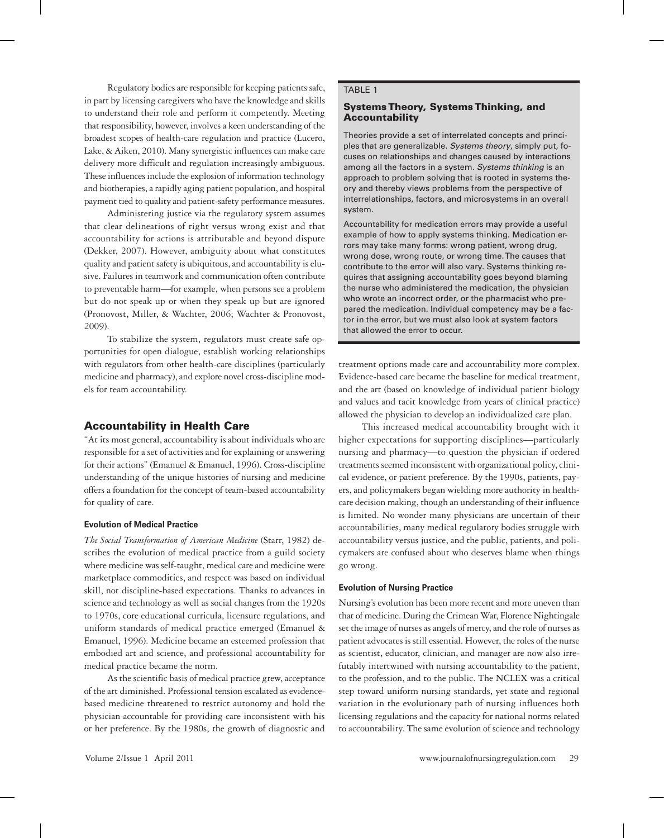Regulatory bodies are responsible for keeping patients safe, in part by licensing caregivers who have the knowledge and skills to understand their role and perform it competently. Meeting that responsibility, however, involves a keen understanding of the broadest scopes of health-care regulation and practice (Lucero, Lake, & Aiken, 2010). Many synergistic influences can make care delivery more difficult and regulation increasingly ambiguous. These influences include the explosion of information technology and biotherapies, a rapidly aging patient population, and hospital payment tied to quality and patient-safety performance measures.

Administering justice via the regulatory system assumes that clear delineations of right versus wrong exist and that accountability for actions is attributable and beyond dispute (Dekker, 2007). However, ambiguity about what constitutes quality and patient safety is ubiquitous, and accountability is elusive. Failures in teamwork and communication often contribute to preventable harm—for example, when persons see a problem but do not speak up or when they speak up but are ignored (Pronovost, Miller, & Wachter, 2006; Wachter & Pronovost, 2009).

To stabilize the system, regulators must create safe opportunities for open dialogue, establish working relationships with regulators from other health-care disciplines (particularly medicine and pharmacy), and explore novel cross-discipline models for team accountability.

# Accountability in Health Care

"At its most general, accountability is about individuals who are responsible for a set of activities and for explaining or answering for their actions" (Emanuel & Emanuel, 1996). Cross-discipline understanding of the unique histories of nursing and medicine offers a foundation for the concept of team-based accountability for quality of care.

#### **Evolution of Medical Practice**

*The Social Transformation of American Medicine* (Starr, 1982) describes the evolution of medical practice from a guild society where medicine was self-taught, medical care and medicine were marketplace commodities, and respect was based on individual skill, not discipline-based expectations. Thanks to advances in science and technology as well as social changes from the 1920s to 1970s, core educational curricula, licensure regulations, and uniform standards of medical practice emerged (Emanuel & Emanuel, 1996). Medicine became an esteemed profession that embodied art and science, and professional accountability for medical practice became the norm.

As the scientific basis of medical practice grew, acceptance of the art diminished. Professional tension escalated as evidencebased medicine threatened to restrict autonomy and hold the physician accountable for providing care inconsistent with his or her preference. By the 1980s, the growth of diagnostic and

#### TABLE 1

### Systems Theory, Systems Thinking, and **Accountability**

Theories provide a set of interrelated concepts and principles that are generalizable. *Systems theory*, simply put, focuses on relationships and changes caused by interactions among all the factors in a system. *Systems thinking* is an approach to problem solving that is rooted in systems theory and thereby views problems from the perspective of interrelationships, factors, and microsystems in an overall system.

Accountability for medication errors may provide a useful example of how to apply systems thinking. Medication errors may take many forms: wrong patient, wrong drug, wrong dose, wrong route, or wrong time. The causes that contribute to the error will also vary. Systems thinking requires that assigning accountability goes beyond blaming the nurse who administered the medication, the physician who wrote an incorrect order, or the pharmacist who prepared the medication. Individual competency may be a factor in the error, but we must also look at system factors that allowed the error to occur.

treatment options made care and accountability more complex. Evidence-based care became the baseline for medical treatment, and the art (based on knowledge of individual patient biology and values and tacit knowledge from years of clinical practice) allowed the physician to develop an individualized care plan.

This increased medical accountability brought with it higher expectations for supporting disciplines—particularly nursing and pharmacy—to question the physician if ordered treatments seemed inconsistent with organizational policy, clinical evidence, or patient preference. By the 1990s, patients, payers, and policymakers began wielding more authority in healthcare decision making, though an understanding of their influence is limited. No wonder many physicians are uncertain of their accountabilities, many medical regulatory bodies struggle with accountability versus justice, and the public, patients, and policymakers are confused about who deserves blame when things go wrong.

#### **Evolution of Nursing Practice**

Nursing's evolution has been more recent and more uneven than that of medicine. During the Crimean War, Florence Nightingale set the image of nurses as angels of mercy, and the role of nurses as patient advocates is still essential. However, the roles of the nurse as scientist, educator, clinician, and manager are now also irrefutably intertwined with nursing accountability to the patient, to the profession, and to the public. The NCLEX was a critical step toward uniform nursing standards, yet state and regional variation in the evolutionary path of nursing influences both licensing regulations and the capacity for national norms related to accountability. The same evolution of science and technology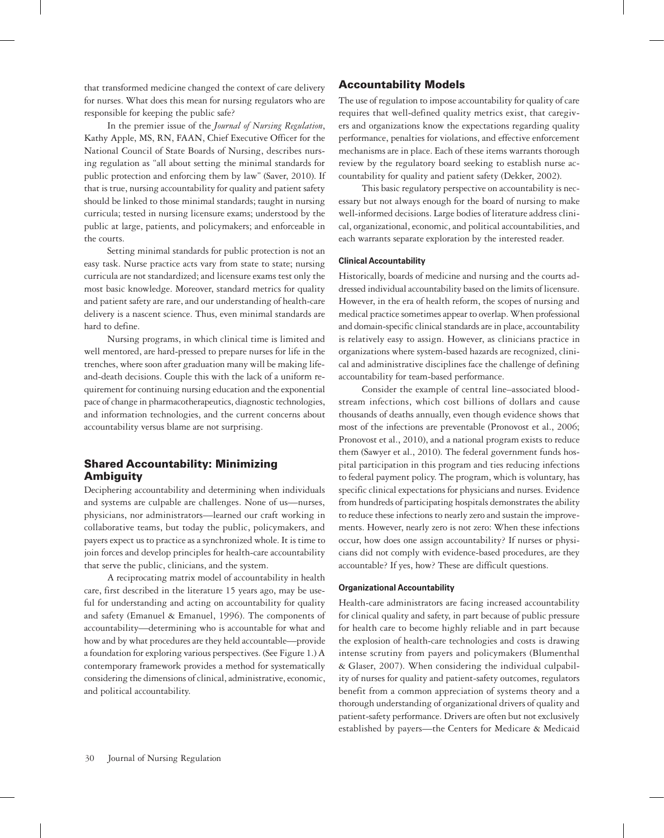that transformed medicine changed the context of care delivery for nurses. What does this mean for nursing regulators who are responsible for keeping the public safe?

In the premier issue of the *Journal of Nursing Regulation*, Kathy Apple, MS, RN, FAAN, Chief Executive Officer for the National Council of State Boards of Nursing, describes nursing regulation as "all about setting the minimal standards for public protection and enforcing them by law" (Saver, 2010). If that is true, nursing accountability for quality and patient safety should be linked to those minimal standards; taught in nursing curricula; tested in nursing licensure exams; understood by the public at large, patients, and policymakers; and enforceable in the courts.

Setting minimal standards for public protection is not an easy task. Nurse practice acts vary from state to state; nursing curricula are not standardized; and licensure exams test only the most basic knowledge. Moreover, standard metrics for quality and patient safety are rare, and our understanding of health-care delivery is a nascent science. Thus, even minimal standards are hard to define.

Nursing programs, in which clinical time is limited and well mentored, are hard-pressed to prepare nurses for life in the trenches, where soon after graduation many will be making lifeand-death decisions. Couple this with the lack of a uniform requirement for continuing nursing education and the exponential pace of change in pharmacotherapeutics, diagnostic technologies, and information technologies, and the current concerns about accountability versus blame are not surprising.

# Shared Accountability: Minimizing Ambiguity

Deciphering accountability and determining when individuals and systems are culpable are challenges. None of us—nurses, physicians, nor administrators—learned our craft working in collaborative teams, but today the public, policymakers, and payers expect us to practice as a synchronized whole. It is time to join forces and develop principles for health-care accountability that serve the public, clinicians, and the system.

A reciprocating matrix model of accountability in health care, first described in the literature 15 years ago, may be useful for understanding and acting on accountability for quality and safety (Emanuel & Emanuel, 1996). The components of accountability—determining who is accountable for what and how and by what procedures are they held accountable—provide a foundation for exploring various perspectives. (See Figure 1.) A contemporary framework provides a method for systematically considering the dimensions of clinical, administrative, economic, and political accountability.

# Accountability Models

The use of regulation to impose accountability for quality of care requires that well-defined quality metrics exist, that caregivers and organizations know the expectations regarding quality performance, penalties for violations, and effective enforcement mechanisms are in place. Each of these items warrants thorough review by the regulatory board seeking to establish nurse accountability for quality and patient safety (Dekker, 2002).

This basic regulatory perspective on accountability is necessary but not always enough for the board of nursing to make well-informed decisions. Large bodies of literature address clinical, organizational, economic, and political accountabilities, and each warrants separate exploration by the interested reader.

#### **Clinical Accountability**

Historically, boards of medicine and nursing and the courts addressed individual accountability based on the limits of licensure. However, in the era of health reform, the scopes of nursing and medical practice sometimes appear to overlap. When professional and domain-specific clinical standards are in place, accountability is relatively easy to assign. However, as clinicians practice in organizations where system-based hazards are recognized, clinical and administrative disciplines face the challenge of defining accountability for team-based performance.

Consider the example of central line–associated bloodstream infections, which cost billions of dollars and cause thousands of deaths annually, even though evidence shows that most of the infections are preventable (Pronovost et al., 2006; Pronovost et al., 2010), and a national program exists to reduce them (Sawyer et al., 2010). The federal government funds hospital participation in this program and ties reducing infections to federal payment policy. The program, which is voluntary, has specific clinical expectations for physicians and nurses. Evidence from hundreds of participating hospitals demonstrates the ability to reduce these infections to nearly zero and sustain the improvements. However, nearly zero is not zero: When these infections occur, how does one assign accountability? If nurses or physicians did not comply with evidence-based procedures, are they accountable? If yes, how? These are difficult questions.

#### **Organizational Accountability**

Health-care administrators are facing increased accountability for clinical quality and safety, in part because of public pressure for health care to become highly reliable and in part because the explosion of health-care technologies and costs is drawing intense scrutiny from payers and policymakers (Blumenthal & Glaser, 2007). When considering the individual culpability of nurses for quality and patient-safety outcomes, regulators benefit from a common appreciation of systems theory and a thorough understanding of organizational drivers of quality and patient-safety performance. Drivers are often but not exclusively established by payers—the Centers for Medicare & Medicaid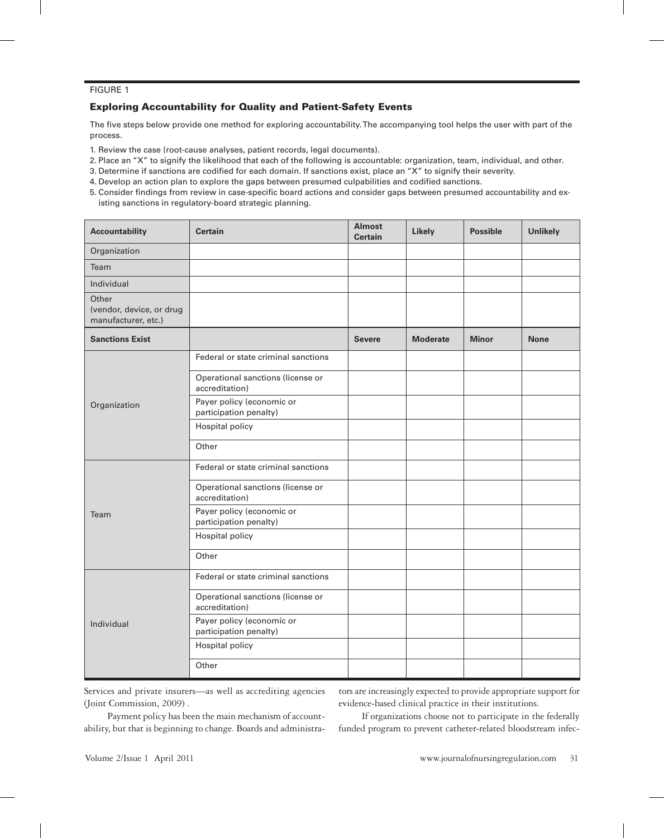## **FIGURE 1**

# Exploring Accountability for Quality and Patient-Safety Events

The five steps below provide one method for exploring accountability. The accompanying tool helps the user with part of the process.

- 1. Review the case (root-cause analyses, patient records, legal documents).
- 2. Place an "X" to signify the likelihood that each of the following is accountable: organization, team, individual, and other.
- 3. Determine if sanctions are codified for each domain. If sanctions exist, place an "X" to signify their severity.
- 4. Develop an action plan to explore the gaps between presumed culpabilities and codified sanctions.
- 5. Consider findings from review in case-specific board actions and consider gaps between presumed accountability and existing sanctions in regulatory-board strategic planning.

| <b>Accountability</b>                                    | <b>Certain</b>                                      | <b>Almost</b><br><b>Certain</b> | Likely          | <b>Possible</b> | <b>Unlikely</b> |
|----------------------------------------------------------|-----------------------------------------------------|---------------------------------|-----------------|-----------------|-----------------|
| Organization                                             |                                                     |                                 |                 |                 |                 |
| Team                                                     |                                                     |                                 |                 |                 |                 |
| Individual                                               |                                                     |                                 |                 |                 |                 |
| Other<br>(vendor, device, or drug<br>manufacturer, etc.) |                                                     |                                 |                 |                 |                 |
| <b>Sanctions Exist</b>                                   |                                                     | <b>Severe</b>                   | <b>Moderate</b> | <b>Minor</b>    | <b>None</b>     |
|                                                          | Federal or state criminal sanctions                 |                                 |                 |                 |                 |
|                                                          | Operational sanctions (license or<br>accreditation) |                                 |                 |                 |                 |
| Organization<br>Team                                     | Payer policy (economic or<br>participation penalty) |                                 |                 |                 |                 |
|                                                          | Hospital policy                                     |                                 |                 |                 |                 |
|                                                          | Other                                               |                                 |                 |                 |                 |
|                                                          | Federal or state criminal sanctions                 |                                 |                 |                 |                 |
|                                                          | Operational sanctions (license or<br>accreditation) |                                 |                 |                 |                 |
|                                                          | Payer policy (economic or<br>participation penalty) |                                 |                 |                 |                 |
|                                                          | Hospital policy                                     |                                 |                 |                 |                 |
|                                                          | Other                                               |                                 |                 |                 |                 |
|                                                          | Federal or state criminal sanctions                 |                                 |                 |                 |                 |
|                                                          | Operational sanctions (license or<br>accreditation) |                                 |                 |                 |                 |
| Individual                                               | Payer policy (economic or<br>participation penalty) |                                 |                 |                 |                 |
|                                                          | Hospital policy                                     |                                 |                 |                 |                 |
|                                                          | Other                                               |                                 |                 |                 |                 |

Services and private insurers—as well as accrediting agencies (Joint Commission, 2009) .

tors are increasingly expected to provide appropriate support for evidence-based clinical practice in their institutions.

Payment policy has been the main mechanism of accountability, but that is beginning to change. Boards and administra-

If organizations choose not to participate in the federally funded program to prevent catheter-related bloodstream infec-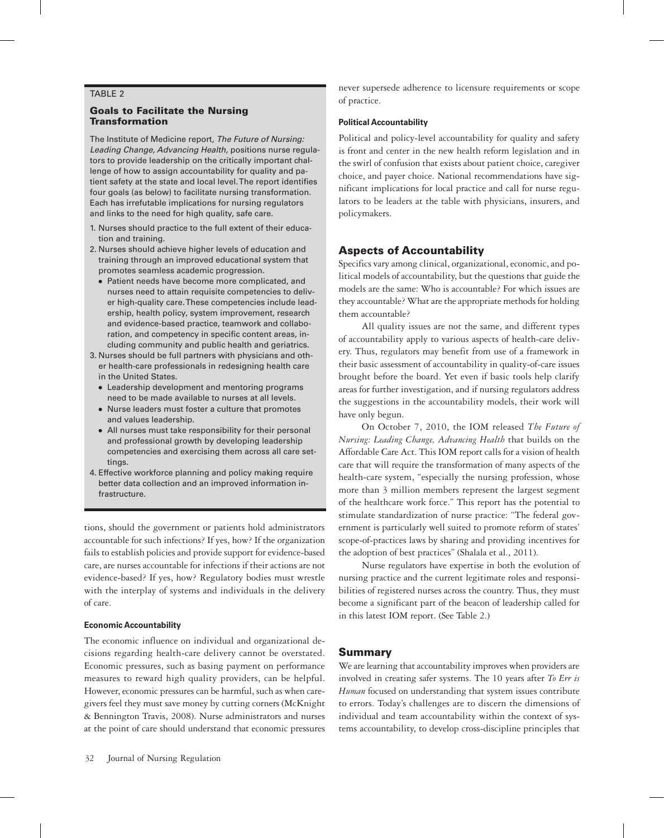## TABLE<sub>2</sub>

# Goals to Facilitate the Nursing **Transformation**

The Institute of Medicine report, *The Future of Nursing: Leading Change, Advancing Health,* positions nurse regulators to provide leadership on the critically important challenge of how to assign accountability for quality and patient safety at the state and local level. The report identifies four goals (as below) to facilitate nursing transformation. Each has irrefutable implications for nursing regulators and links to the need for high quality, safe care.

- 1. Nurses should practice to the full extent of their education and training.
- 2. Nurses should achieve higher levels of education and training through an improved educational system that promotes seamless academic progression.
	- ⦁⦁ Patient needs have become more complicated, and nurses need to attain requisite competencies to deliver high-quality care. These competencies include leadership, health policy, system improvement, research and evidence-based practice, teamwork and collaboration, and competency in specific content areas, including community and public health and geriatrics.
- 3. Nurses should be full partners with physicians and other health-care professionals in redesigning health care in the United States.
	- ⦁⦁ Leadership development and mentoring programs need to be made available to nurses at all levels.
	- ⦁⦁ Nurse leaders must foster a culture that promotes and values leadership.
	- ⦁⦁ All nurses must take responsibility for their personal and professional growth by developing leadership competencies and exercising them across all care settings.
- 4. Effective workforce planning and policy making require better data collection and an improved information infrastructure.

tions, should the government or patients hold administrators accountable for such infections? If yes, how? If the organization fails to establish policies and provide support for evidence-based care, are nurses accountable for infections if their actions are not evidence-based? If yes, how? Regulatory bodies must wrestle with the interplay of systems and individuals in the delivery of care.

## **Economic Accountability**

The economic influence on individual and organizational decisions regarding health-care delivery cannot be overstated. Economic pressures, such as basing payment on performance measures to reward high quality providers, can be helpful. However, economic pressures can be harmful, such as when caregivers feel they must save money by cutting corners (McKnight & Bennington Travis, 2008). Nurse administrators and nurses at the point of care should understand that economic pressures never supersede adherence to licensure requirements or scope of practice.

#### **Political Accountability**

Political and policy-level accountability for quality and safety is front and center in the new health reform legislation and in the swirl of confusion that exists about patient choice, caregiver choice, and payer choice. National recommendations have significant implications for local practice and call for nurse regulators to be leaders at the table with physicians, insurers, and policymakers.

# Aspects of Accountability

Specifics vary among clinical, organizational, economic, and political models of accountability, but the questions that guide the models are the same: Who is accountable? For which issues are they accountable? What are the appropriate methods for holding them accountable?

All quality issues are not the same, and different types of accountability apply to various aspects of health-care delivery. Thus, regulators may benefit from use of a framework in their basic assessment of accountability in quality-of-care issues brought before the board. Yet even if basic tools help clarify areas for further investigation, and if nursing regulators address the suggestions in the accountability models, their work will have only begun.

On October 7, 2010, the IOM released *The Future of Nursing: Leading Change, Advancing Health* that builds on the Affordable Care Act. This IOM report calls for a vision of health care that will require the transformation of many aspects of the health-care system, "especially the nursing profession, whose more than 3 million members represent the largest segment of the healthcare work force." This report has the potential to stimulate standardization of nurse practice: "The federal government is particularly well suited to promote reform of states' scope-of-practices laws by sharing and providing incentives for the adoption of best practices" (Shalala et al., 2011).

Nurse regulators have expertise in both the evolution of nursing practice and the current legitimate roles and responsibilities of registered nurses across the country. Thus, they must become a significant part of the beacon of leadership called for in this latest IOM report. (See Table 2.)

# Summary

We are learning that accountability improves when providers are involved in creating safer systems. The 10 years after *To Err is Human* focused on understanding that system issues contribute to errors. Today's challenges are to discern the dimensions of individual and team accountability within the context of systems accountability, to develop cross-discipline principles that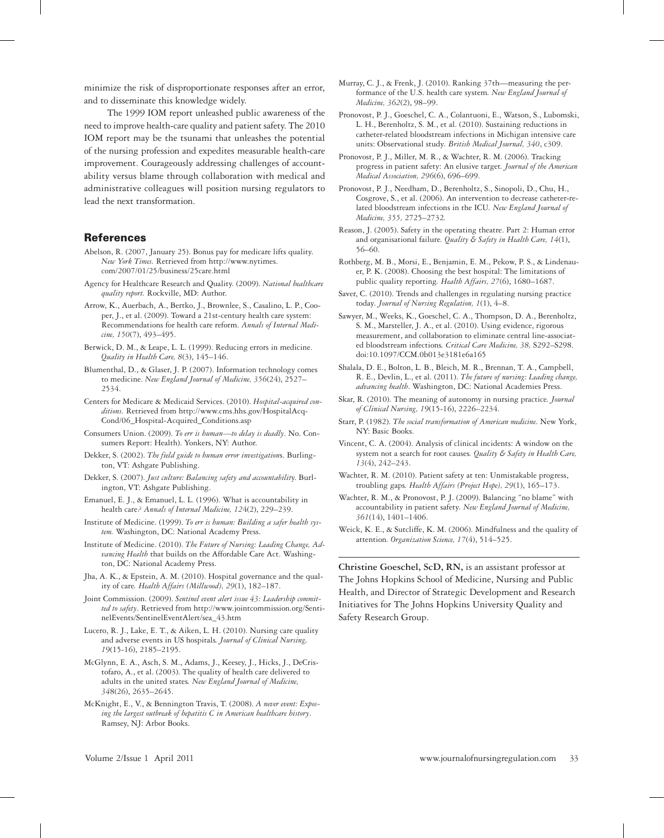minimize the risk of disproportionate responses after an error, and to disseminate this knowledge widely.

The 1999 IOM report unleashed public awareness of the need to improve health-care quality and patient safety. The 2010 IOM report may be the tsunami that unleashes the potential of the nursing profession and expedites measurable health-care improvement. Courageously addressing challenges of accountability versus blame through collaboration with medical and administrative colleagues will position nursing regulators to lead the next transformation.

# References

- Abelson, R. (2007, January 25). Bonus pay for medicare lifts quality. *New York Times.* Retrieved from http://www.nytimes. com/2007/01/25/business/25care.html
- Agency for Healthcare Research and Quality. (2009). *National healthcare quality report.* Rockville, MD: Author.
- Arrow, K., Auerbach, A., Bertko, J., Brownlee, S., Casalino, L. P., Cooper, J., et al. (2009). Toward a 21st-century health care system: Recommendations for health care reform. *Annals of Internal Medicine, 150*(7), 493–495.
- Berwick, D. M., & Leape, L. L. (1999). Reducing errors in medicine. *Quality in Health Care, 8*(3), 145–146.
- Blumenthal, D., & Glaser, J. P. (2007). Information technology comes to medicine. *New England Journal of Medicine, 356*(24), 2527– 2534.
- Centers for Medicare & Medicaid Services. (2010). *Hospital-acquired conditions.* Retrieved from http://www.cms.hhs.gov/HospitalAcq-Cond/06\_Hospital-Acquired\_Conditions.asp
- Consumers Union. (2009). *To err is human—to delay is deadly*. No. Consumers Report: Health). Yonkers, NY: Author.
- Dekker, S. (2002). *The field guide to human error investigation*s. Burlington, VT: Ashgate Publishing.
- Dekker, S. (2007). *Just culture: Balancing safety and accountabilit*y. Burlington, VT: Ashgate Publishing.
- Emanuel, E. J., & Emanuel, L. L. (1996). What is accountability in health care*? Annals of Internal Medicine, 12*4(2), 229–239.
- Institute of Medicine. (1999). *To err is human: Building a safer health system.* Washington, DC: National Academy Press.
- Institute of Medicine. (2010). *The Future of Nursing: Leading Change, Advancing Health* that builds on the Affordable Care Act. Washington, DC: National Academy Press.
- Jha, A. K., & Epstein, A. M. (2010). Hospital governance and the quality of care*. Health Affairs (Millwood), 29*(1), 182–187.
- Joint Commission. (2009). *Sentinel event alert issue 43: Leadership committed to safety*. Retrieved from http://www.jointcommission.org/SentinelEvents/SentinelEventAlert/sea\_43.htm
- Lucero, R. J., Lake, E. T., & Aiken, L. H. (2010). Nursing care quality and adverse events in US hospitals*. Journal of Clinical Nursing, 1*9(15-16), 2185–2195.
- McGlynn, E. A., Asch, S. M., Adams, J., Keesey, J., Hicks, J., DeCristofaro, A., et al. (2003). The quality of health care delivered to adults in the united states*. New England Journal of Medicine, 34*8(26), 2635–2645.
- McKnight, E., V., & Bennington Travis, T. (2008). *A never event: Exposing the largest outbreak of hepatitis C in American healthcare history*. Ramsey, NJ: Arbor Books.
- Murray, C. J., & Frenk, J. (2010). Ranking 37th—measuring the performance of the U.S. health care system*. New England Journal of Medicine, 362*(2), 98–99.
- Pronovost, P. J., Goeschel, C. A., Colantuoni, E., Watson, S., Lubomski, L. H., Berenholtz, S. M., et al. (2010). Sustaining reductions in catheter-related bloodstream infections in Michigan intensive care units: Observational study*. British Medical Journal, 340*, c309.
- Pronovost, P. J., Miller, M. R., & Wachter, R. M. (2006). Tracking progress in patient safety: An elusive target*. Journal of the American Medical Association, 296*(6), 696–699.
- Pronovost, P. J., Needham, D., Berenholtz, S., Sinopoli, D., Chu, H., Cosgrove, S., et al. (2006). An intervention to decrease catheter-related bloodstream infections in the ICU*. New England Journal of Medicine, 355,* 2725–2732*.*
- Reason, J. (2005). Safety in the operating theatre. Part 2: Human error and organisational failure*. Quality & Safety in Health Care, 14*(1), 56–60.
- Rothberg, M. B., Morsi, E., Benjamin, E. M., Pekow, P. S., & Lindenauer, P. K. (2008). Choosing the best hospital: The limitations of public quality reporting*. Health Affairs, 27*(6), 1680–1687.
- Saver, C. (2010). Trends and challenges in regulating nursing practice today*. Journal of Nursing Regulation, 1*(1), 4–8.
- Sawyer, M., Weeks, K., Goeschel, C. A., Thompson, D. A., Berenholtz, S. M., Marsteller, J. A., et al. (2010). Using evidence, rigorous measurement, and collaboration to eliminate central line-associated bloodstream infections*. Critical Care Medicine, 38,* S292–S298. doi:10.1097/CCM.0b013e3181e6a165
- Shalala, D. E., Bolton, L. B., Bleich, M. R., Brennan, T. A., Campbell, R. E., Devlin, L., et al. (2011). *The future of nursing: Leading change, advancing health*. Washington, DC: National Academies Press.
- Skar, R. (2010). The meaning of autonomy in nursing practice*. Journal of Clinical Nursing, 1*9(15-16), 2226–2234.
- Starr, P. (1982). *The social transformation of American medicine*. New York, NY: Basic Books.
- Vincent, C. A. (2004). Analysis of clinical incidents: A window on the system not a search for root causes*. Quality & Safety in Health Care, 13*(4), 242–243.
- Wachter, R. M. (2010). Patient safety at ten: Unmistakable progress, troubling gaps*. Health Affairs (Project Hope), 29*(1), 165–173.
- Wachter, R. M., & Pronovost, P. J. (2009). Balancing "no blame" with accountability in patient safety*. New England Journal of Medicine, 361*(14), 1401–1406.
- Weick, K. E., & Sutcliffe, K. M. (2006). Mindfulness and the quality of attention*. Organization Science, 17*(4), 514–525.

**Christine Goeschel, ScD, RN,** is an assistant professor at The Johns Hopkins School of Medicine, Nursing and Public Health, and Director of Strategic Development and Research Initiatives for The Johns Hopkins University Quality and Safety Research Group.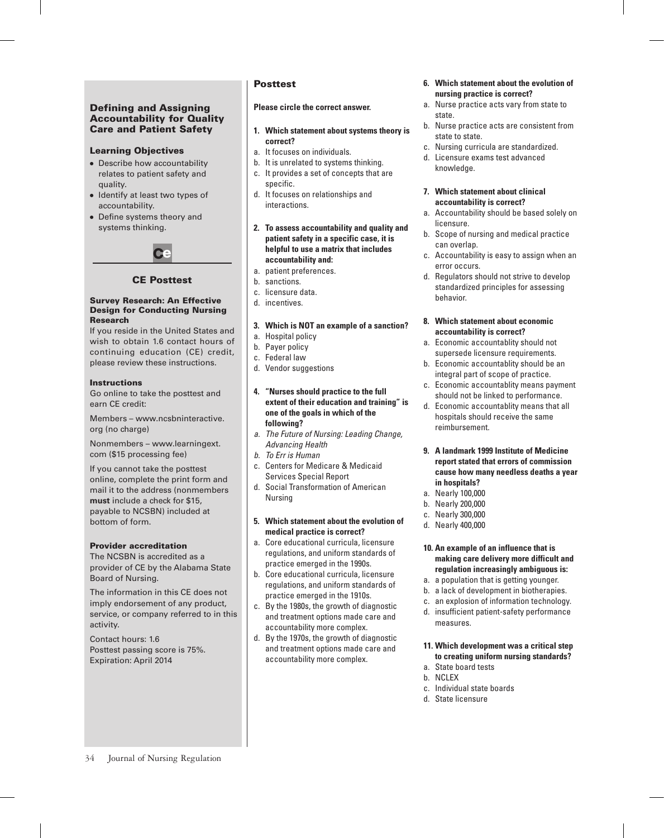# Defining and Assigning Accountability for Quality Care and Patient Safety

### Learning Objectives

- ⦁⦁ Describe how accountability relates to patient safety and quality.
- ⦁⦁ Identify at least two types of accountability.
- ⦁⦁ Define systems theory and systems thinking.



# CE Posttest

#### Survey Research: An Effective Design for Conducting Nursing Research

If you reside in the United States and wish to obtain 1.6 contact hours of continuing education (CE) credit, please review these instructions.

### **Instructions**

Go online to take the posttest and earn CE credit:

Members – www.ncsbninteractive. org (no charge)

Nonmembers – www.learningext. com (\$15 processing fee)

If you cannot take the posttest online, complete the print form and mail it to the address (nonmembers **must** include a check for \$15, payable to NCSBN) included at bottom of form.

## Provider accreditation

The NCSBN is accredited as a provider of CE by the Alabama State Board of Nursing.

The information in this CE does not imply endorsement of any product, service, or company referred to in this activity.

Contact hours: 1.6 Posttest passing score is 75%. Expiration: April 2014

# Posttest

#### **Please circle the correct answer.**

- **1. Which statement about systems theory is correct?**
- a. It focuses on individuals.
- b. It is unrelated to systems thinking.
- c. It provides a set of concepts that are specific.
- d. It focuses on relationships and interactions.
- **2. To assess accountability and quality and patient safety in a specific case, it is helpful to use a matrix that includes accountability and:**
- a. patient preferences.
- b. sanctions.
- c. licensure data.
- d. incentives.

#### **3. Which is NOT an example of a sanction?**

- a. Hospital policy
- b. Payer policy
- c. Federal law
- d. Vendor suggestions
- **4. "Nurses should practice to the full extent of their education and training" is one of the goals in which of the following?**
- *a. The Future of Nursing: Leading Change, Advancing Health*
- *b. To Err is Human*
- c. Centers for Medicare & Medicaid Services Special Report
- d. Social Transformation of American Nursing
- **5. Which statement about the evolution of medical practice is correct?**
- a. Core educational curricula, licensure regulations, and uniform standards of practice emerged in the 1990s.
- b. Core educational curricula, licensure regulations, and uniform standards of practice emerged in the 1910s.
- c. By the 1980s, the growth of diagnostic and treatment options made care and accountability more complex.
- d. By the 1970s, the growth of diagnostic and treatment options made care and accountability more complex.
- **6. Which statement about the evolution of nursing practice is correct?**
- a. Nurse practice acts vary from state to state.
- b. Nurse practice acts are consistent from state to state.
- c. Nursing curricula are standardized.
- d. Licensure exams test advanced knowledge.

#### **7. Which statement about clinical accountability is correct?**

- a. Accountability should be based solely on licensure.
- b. Scope of nursing and medical practice can overlap.
- c. Accountability is easy to assign when an error occurs.
- d. Regulators should not strive to develop standardized principles for assessing behavior.

#### **8. Which statement about economic accountability is correct?**

- a. Economic accountablity should not supersede licensure requirements.
- b. Economic accountablity should be an integral part of scope of practice.
- c. Economic accountablity means payment should not be linked to performance.
- d. Economic accountablity means that all hospitals should receive the same reimbursement.
- **9. A landmark 1999 Institute of Medicine report stated that errors of commission cause how many needless deaths a year in hospitals?**
- a. Nearly 100,000
- b. Nearly 200,000
- c. Nearly 300,000
- d. Nearly 400,000
- **10. An example of an influence that is making care delivery more difficult and regulation increasingly ambiguous is:**
- a. a population that is getting younger.
- b. a lack of development in biotherapies.
- c. an explosion of information technology.
- d. insufficient patient-safety performance measures.
- **11. Which development was a critical step to creating uniform nursing standards?**
- a. State board tests
- b. NCLEX
- c. Individual state boards
- d. State licensure